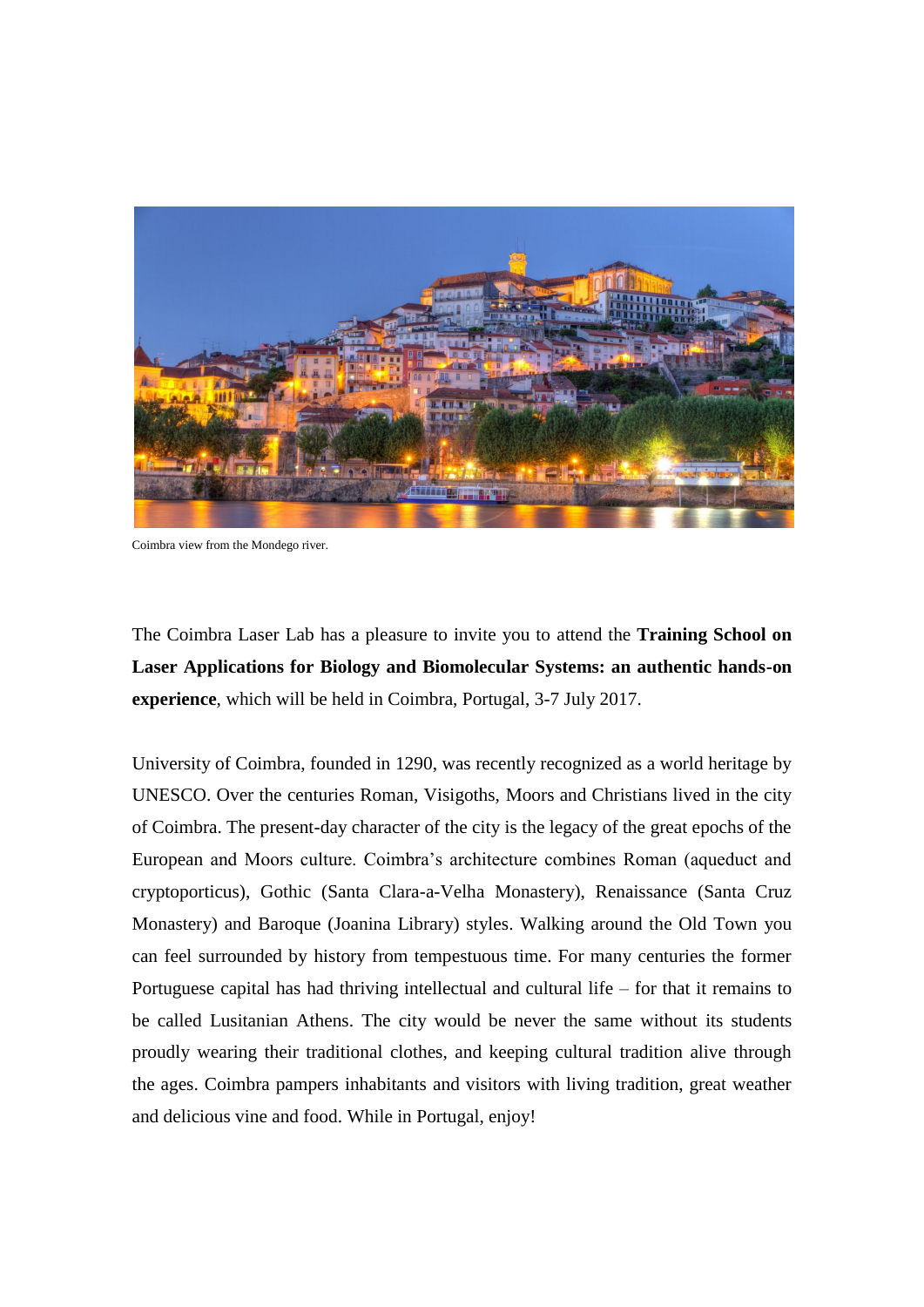

Coimbra view from the Mondego river.

The Coimbra Laser Lab has a pleasure to invite you to attend the **Training School on Laser Applications for Biology and Biomolecular Systems: an authentic hands-on experience**, which will be held in Coimbra, Portugal, 3-7 July 2017.

University of Coimbra, founded in 1290, was recently recognized as a world heritage by UNESCO. Over the centuries Roman, Visigoths, Moors and Christians lived in the city of Coimbra. The present-day character of the city is the legacy of the great epochs of the European and Moors culture. Coimbra's architecture combines Roman (aqueduct and cryptoporticus), Gothic (Santa Clara-a-Velha Monastery), Renaissance (Santa Cruz Monastery) and Baroque (Joanina Library) styles. Walking around the Old Town you can feel surrounded by history from tempestuous time. For many centuries the former Portuguese capital has had thriving intellectual and cultural life – for that it remains to be called Lusitanian Athens. The city would be never the same without its students proudly wearing their traditional clothes, and keeping cultural tradition alive through the ages. Coimbra pampers inhabitants and visitors with living tradition, great weather and delicious vine and food. While in Portugal, enjoy!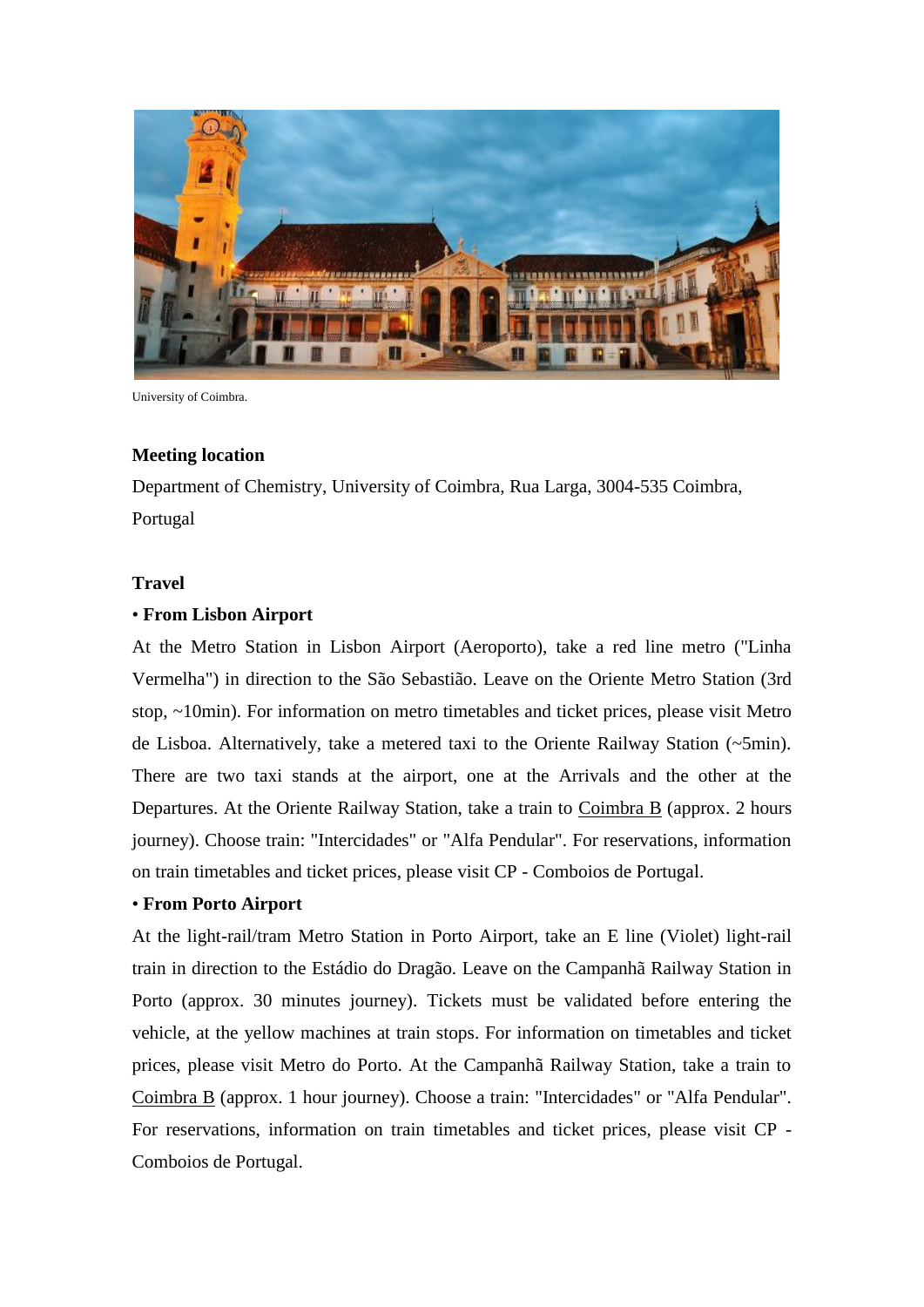

University of Coimbra.

#### **Meeting location**

Department of Chemistry, University of Coimbra, Rua Larga, 3004-535 Coimbra, Portugal

#### **Travel**

#### • **From Lisbon Airport**

At the Metro Station in Lisbon Airport (Aeroporto), take a red line metro ("Linha Vermelha") in direction to the São Sebastião. Leave on the Oriente Metro Station (3rd stop, ~10min). For information on metro timetables and ticket prices, please visit Metro de Lisboa. Alternatively, take a metered taxi to the Oriente Railway Station (~5min). There are two taxi stands at the airport, one at the Arrivals and the other at the Departures. At the Oriente Railway Station, take a train to Coimbra B (approx. 2 hours journey). Choose train: "Intercidades" or "Alfa Pendular". For reservations, information on train timetables and ticket prices, please visit CP - Comboios de Portugal.

## • **From Porto Airport**

At the light-rail/tram Metro Station in Porto Airport, take an E line (Violet) light-rail train in direction to the Estádio do Dragão. Leave on the Campanhã Railway Station in Porto (approx. 30 minutes journey). Tickets must be validated before entering the vehicle, at the yellow machines at train stops. For information on timetables and ticket prices, please visit Metro do Porto. At the Campanhã Railway Station, take a train to Coimbra B (approx. 1 hour journey). Choose a train: "Intercidades" or "Alfa Pendular". For reservations, information on train timetables and ticket prices, please visit CP - Comboios de Portugal.